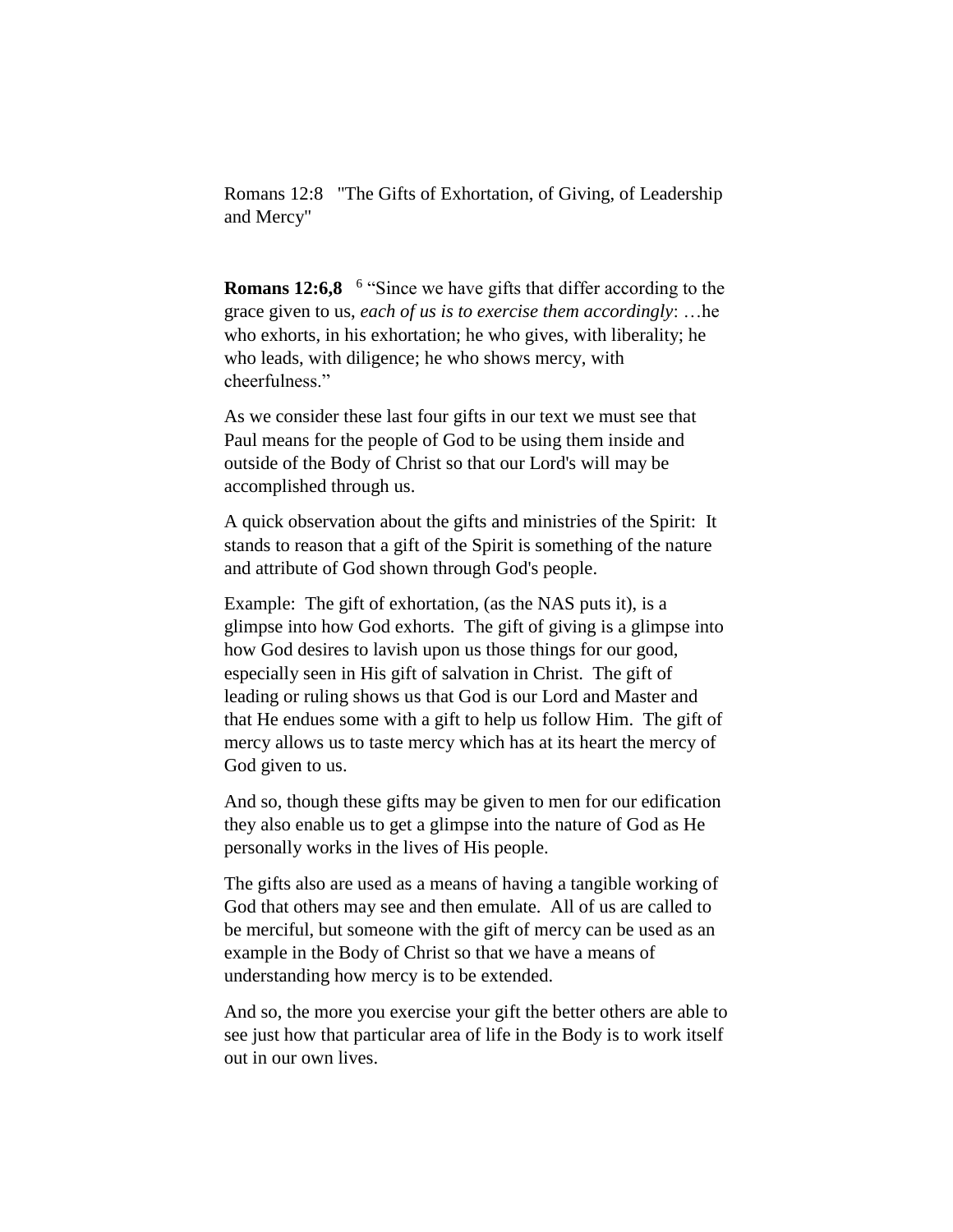Romans 12:8 "The Gifts of Exhortation, of Giving, of Leadership and Mercy"

**Romans 12:6,8** <sup>6</sup> "Since we have gifts that differ according to the grace given to us, *each of us is to exercise them accordingly*: …he who exhorts, in his exhortation; he who gives, with liberality; he who leads, with diligence; he who shows mercy, with cheerfulness."

As we consider these last four gifts in our text we must see that Paul means for the people of God to be using them inside and outside of the Body of Christ so that our Lord's will may be accomplished through us.

A quick observation about the gifts and ministries of the Spirit: It stands to reason that a gift of the Spirit is something of the nature and attribute of God shown through God's people.

Example: The gift of exhortation, (as the NAS puts it), is a glimpse into how God exhorts. The gift of giving is a glimpse into how God desires to lavish upon us those things for our good, especially seen in His gift of salvation in Christ. The gift of leading or ruling shows us that God is our Lord and Master and that He endues some with a gift to help us follow Him. The gift of mercy allows us to taste mercy which has at its heart the mercy of God given to us.

And so, though these gifts may be given to men for our edification they also enable us to get a glimpse into the nature of God as He personally works in the lives of His people.

The gifts also are used as a means of having a tangible working of God that others may see and then emulate. All of us are called to be merciful, but someone with the gift of mercy can be used as an example in the Body of Christ so that we have a means of understanding how mercy is to be extended.

And so, the more you exercise your gift the better others are able to see just how that particular area of life in the Body is to work itself out in our own lives.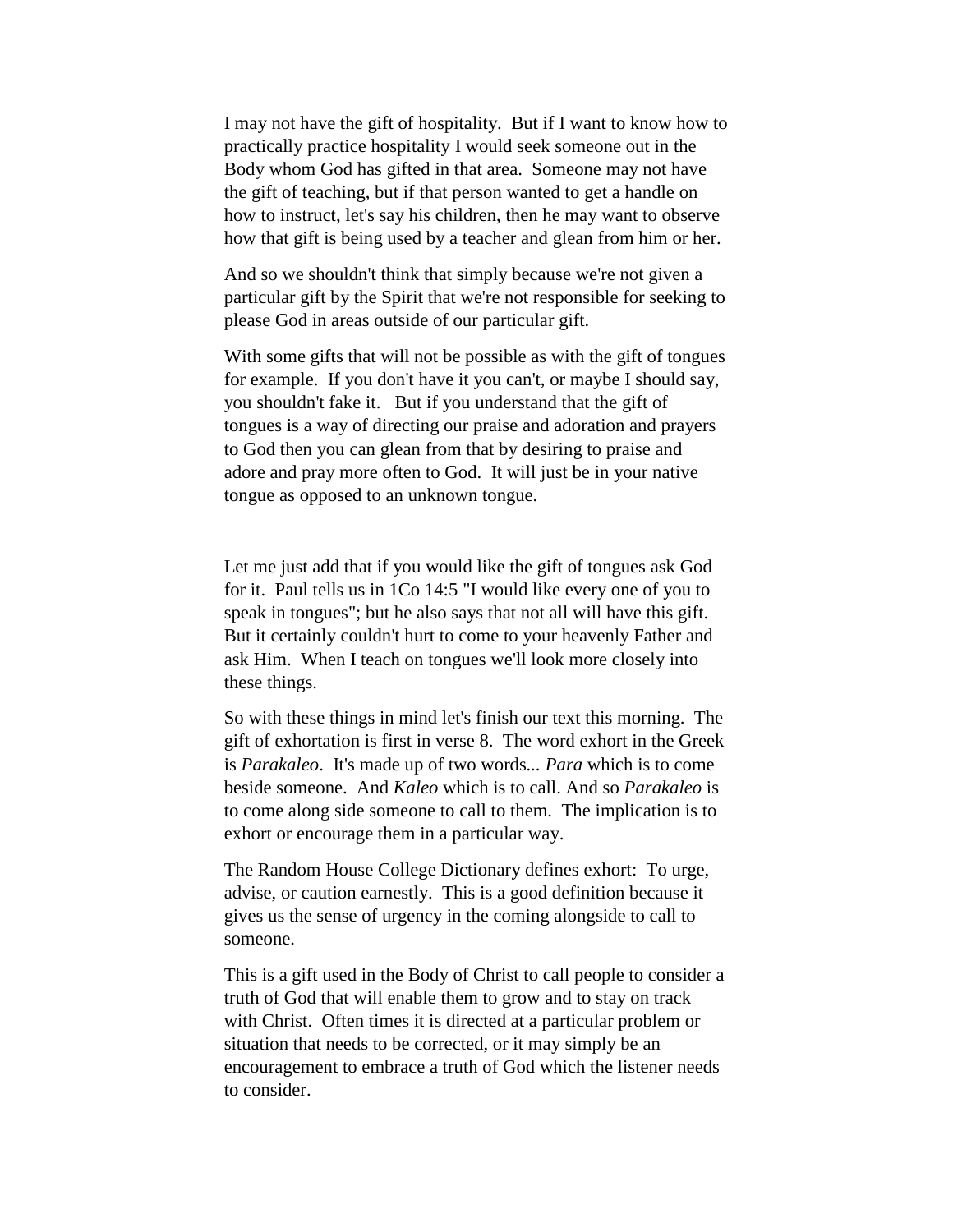I may not have the gift of hospitality. But if I want to know how to practically practice hospitality I would seek someone out in the Body whom God has gifted in that area. Someone may not have the gift of teaching, but if that person wanted to get a handle on how to instruct, let's say his children, then he may want to observe how that gift is being used by a teacher and glean from him or her.

And so we shouldn't think that simply because we're not given a particular gift by the Spirit that we're not responsible for seeking to please God in areas outside of our particular gift.

With some gifts that will not be possible as with the gift of tongues for example. If you don't have it you can't, or maybe I should say, you shouldn't fake it. But if you understand that the gift of tongues is a way of directing our praise and adoration and prayers to God then you can glean from that by desiring to praise and adore and pray more often to God. It will just be in your native tongue as opposed to an unknown tongue.

Let me just add that if you would like the gift of tongues ask God for it. Paul tells us in 1Co 14:5 "I would like every one of you to speak in tongues"; but he also says that not all will have this gift. But it certainly couldn't hurt to come to your heavenly Father and ask Him. When I teach on tongues we'll look more closely into these things.

So with these things in mind let's finish our text this morning. The gift of exhortation is first in verse 8. The word exhort in the Greek is *Parakaleo*. It's made up of two words*... Para* which is to come beside someone. And *Kaleo* which is to call. And so *Parakaleo* is to come along side someone to call to them. The implication is to exhort or encourage them in a particular way.

The Random House College Dictionary defines exhort: To urge, advise, or caution earnestly. This is a good definition because it gives us the sense of urgency in the coming alongside to call to someone.

This is a gift used in the Body of Christ to call people to consider a truth of God that will enable them to grow and to stay on track with Christ. Often times it is directed at a particular problem or situation that needs to be corrected, or it may simply be an encouragement to embrace a truth of God which the listener needs to consider.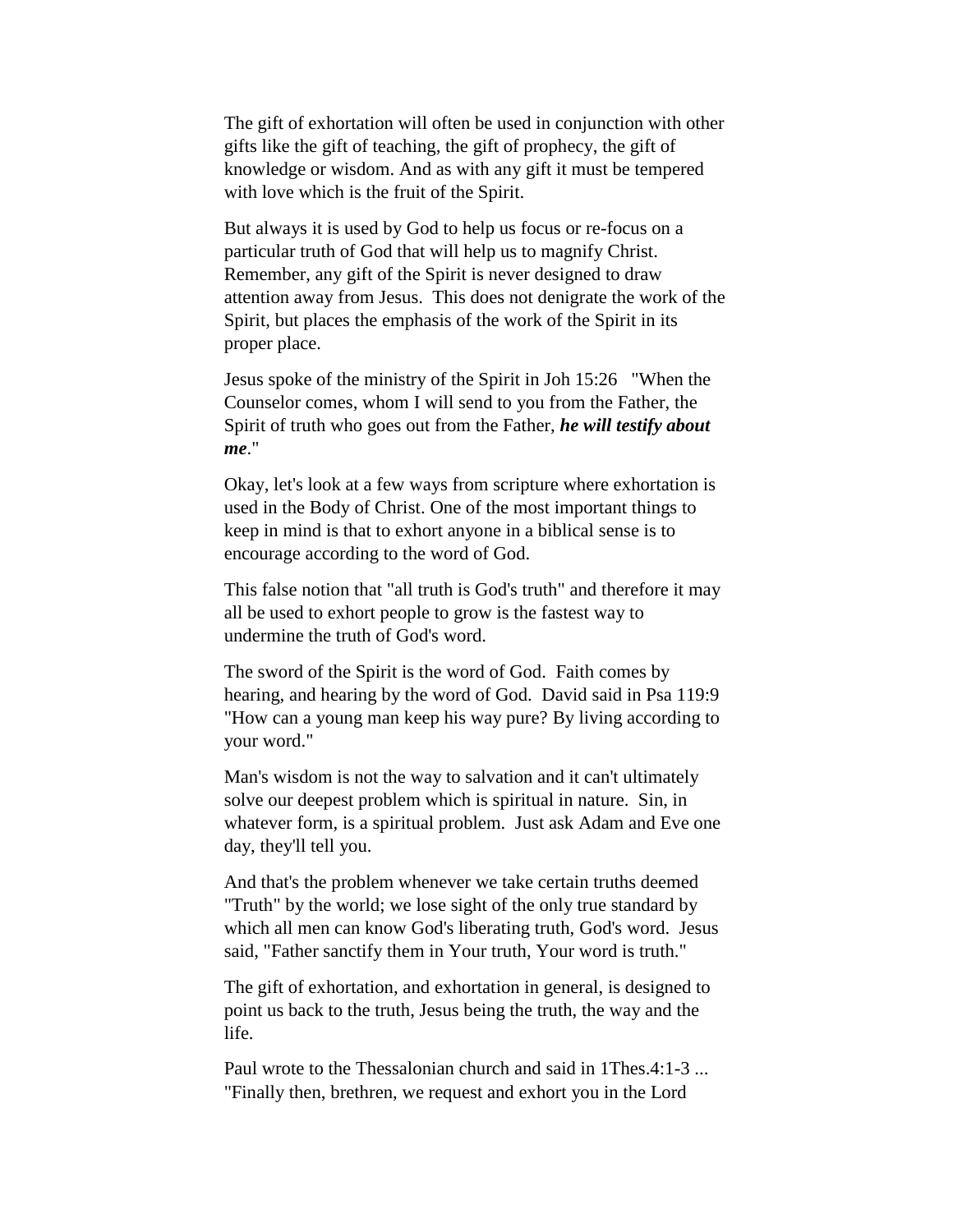The gift of exhortation will often be used in conjunction with other gifts like the gift of teaching, the gift of prophecy, the gift of knowledge or wisdom. And as with any gift it must be tempered with love which is the fruit of the Spirit.

But always it is used by God to help us focus or re-focus on a particular truth of God that will help us to magnify Christ. Remember, any gift of the Spirit is never designed to draw attention away from Jesus. This does not denigrate the work of the Spirit, but places the emphasis of the work of the Spirit in its proper place.

Jesus spoke of the ministry of the Spirit in Joh 15:26 "When the Counselor comes, whom I will send to you from the Father, the Spirit of truth who goes out from the Father, *he will testify about me*."

Okay, let's look at a few ways from scripture where exhortation is used in the Body of Christ. One of the most important things to keep in mind is that to exhort anyone in a biblical sense is to encourage according to the word of God.

This false notion that "all truth is God's truth" and therefore it may all be used to exhort people to grow is the fastest way to undermine the truth of God's word.

The sword of the Spirit is the word of God. Faith comes by hearing, and hearing by the word of God. David said in Psa 119:9 "How can a young man keep his way pure? By living according to your word."

Man's wisdom is not the way to salvation and it can't ultimately solve our deepest problem which is spiritual in nature. Sin, in whatever form, is a spiritual problem. Just ask Adam and Eve one day, they'll tell you.

And that's the problem whenever we take certain truths deemed "Truth" by the world; we lose sight of the only true standard by which all men can know God's liberating truth, God's word. Jesus said, "Father sanctify them in Your truth, Your word is truth."

The gift of exhortation, and exhortation in general, is designed to point us back to the truth, Jesus being the truth, the way and the life.

Paul wrote to the Thessalonian church and said in 1Thes.4:1-3 ... "Finally then, brethren, we request and exhort you in the Lord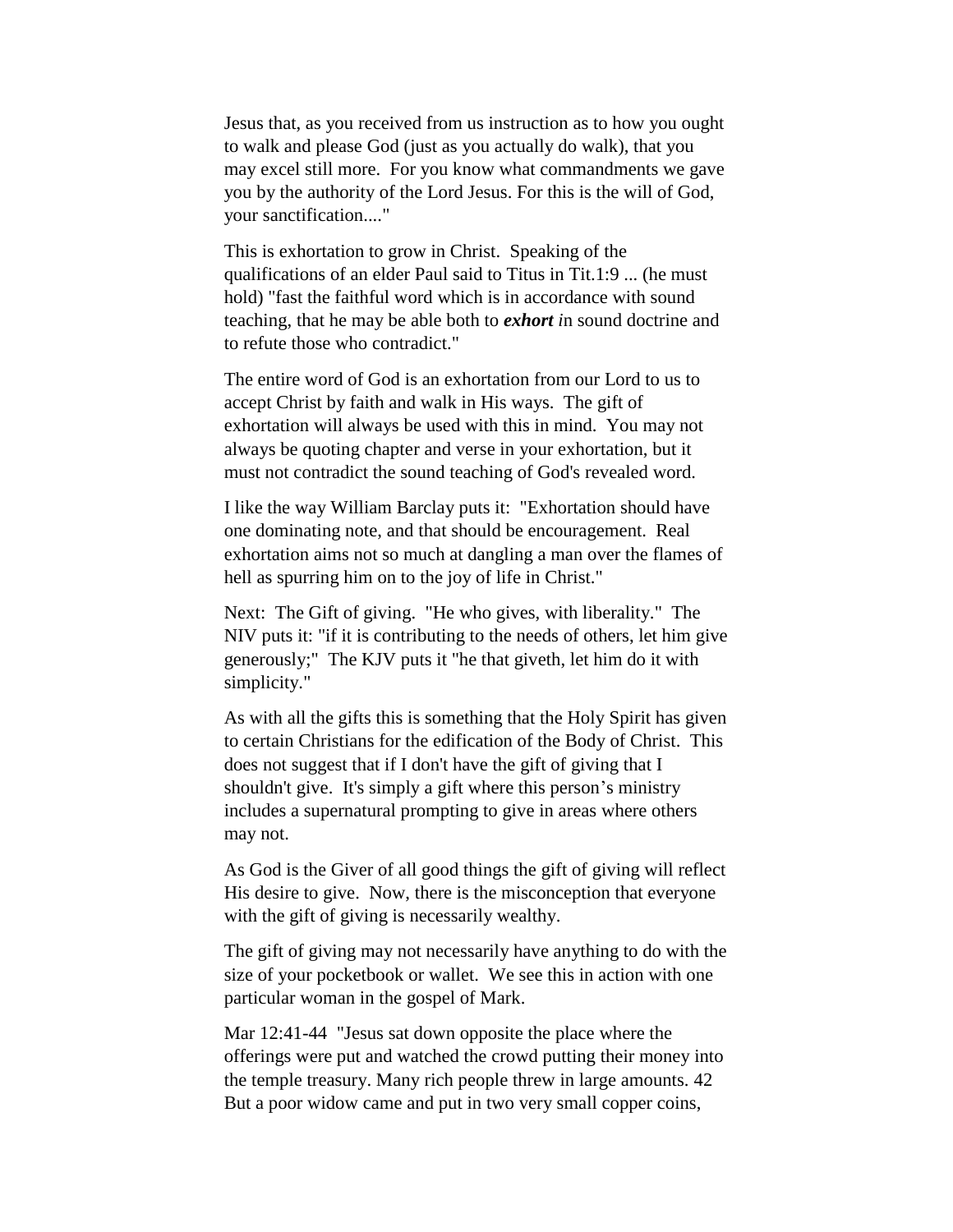Jesus that, as you received from us instruction as to how you ought to walk and please God (just as you actually do walk), that you may excel still more. For you know what commandments we gave you by the authority of the Lord Jesus. For this is the will of God, your sanctification...."

This is exhortation to grow in Christ. Speaking of the qualifications of an elder Paul said to Titus in Tit.1:9 ... (he must hold) "fast the faithful word which is in accordance with sound teaching, that he may be able both to *exhort i*n sound doctrine and to refute those who contradict."

The entire word of God is an exhortation from our Lord to us to accept Christ by faith and walk in His ways. The gift of exhortation will always be used with this in mind. You may not always be quoting chapter and verse in your exhortation, but it must not contradict the sound teaching of God's revealed word.

I like the way William Barclay puts it: "Exhortation should have one dominating note, and that should be encouragement. Real exhortation aims not so much at dangling a man over the flames of hell as spurring him on to the joy of life in Christ."

Next: The Gift of giving. "He who gives, with liberality." The NIV puts it: "if it is contributing to the needs of others, let him give generously;" The KJV puts it "he that giveth, let him do it with simplicity."

As with all the gifts this is something that the Holy Spirit has given to certain Christians for the edification of the Body of Christ. This does not suggest that if I don't have the gift of giving that I shouldn't give. It's simply a gift where this person's ministry includes a supernatural prompting to give in areas where others may not.

As God is the Giver of all good things the gift of giving will reflect His desire to give. Now, there is the misconception that everyone with the gift of giving is necessarily wealthy.

The gift of giving may not necessarily have anything to do with the size of your pocketbook or wallet. We see this in action with one particular woman in the gospel of Mark.

Mar 12:41-44 "Jesus sat down opposite the place where the offerings were put and watched the crowd putting their money into the temple treasury. Many rich people threw in large amounts. 42 But a poor widow came and put in two very small copper coins,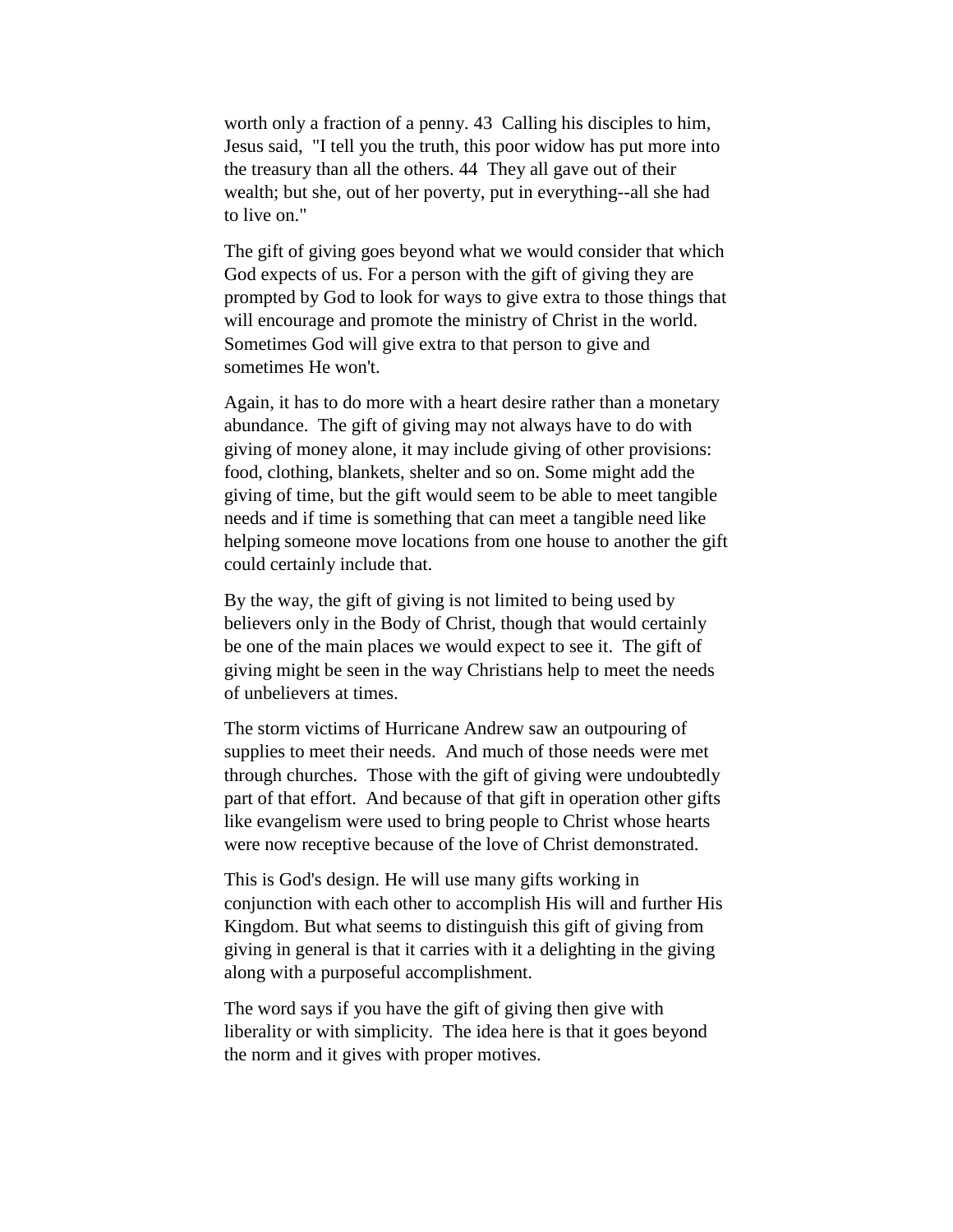worth only a fraction of a penny. 43 Calling his disciples to him, Jesus said, "I tell you the truth, this poor widow has put more into the treasury than all the others. 44 They all gave out of their wealth; but she, out of her poverty, put in everything--all she had to live on."

The gift of giving goes beyond what we would consider that which God expects of us. For a person with the gift of giving they are prompted by God to look for ways to give extra to those things that will encourage and promote the ministry of Christ in the world. Sometimes God will give extra to that person to give and sometimes He won't.

Again, it has to do more with a heart desire rather than a monetary abundance. The gift of giving may not always have to do with giving of money alone, it may include giving of other provisions: food, clothing, blankets, shelter and so on. Some might add the giving of time, but the gift would seem to be able to meet tangible needs and if time is something that can meet a tangible need like helping someone move locations from one house to another the gift could certainly include that.

By the way, the gift of giving is not limited to being used by believers only in the Body of Christ, though that would certainly be one of the main places we would expect to see it. The gift of giving might be seen in the way Christians help to meet the needs of unbelievers at times.

The storm victims of Hurricane Andrew saw an outpouring of supplies to meet their needs. And much of those needs were met through churches. Those with the gift of giving were undoubtedly part of that effort. And because of that gift in operation other gifts like evangelism were used to bring people to Christ whose hearts were now receptive because of the love of Christ demonstrated.

This is God's design. He will use many gifts working in conjunction with each other to accomplish His will and further His Kingdom. But what seems to distinguish this gift of giving from giving in general is that it carries with it a delighting in the giving along with a purposeful accomplishment.

The word says if you have the gift of giving then give with liberality or with simplicity. The idea here is that it goes beyond the norm and it gives with proper motives.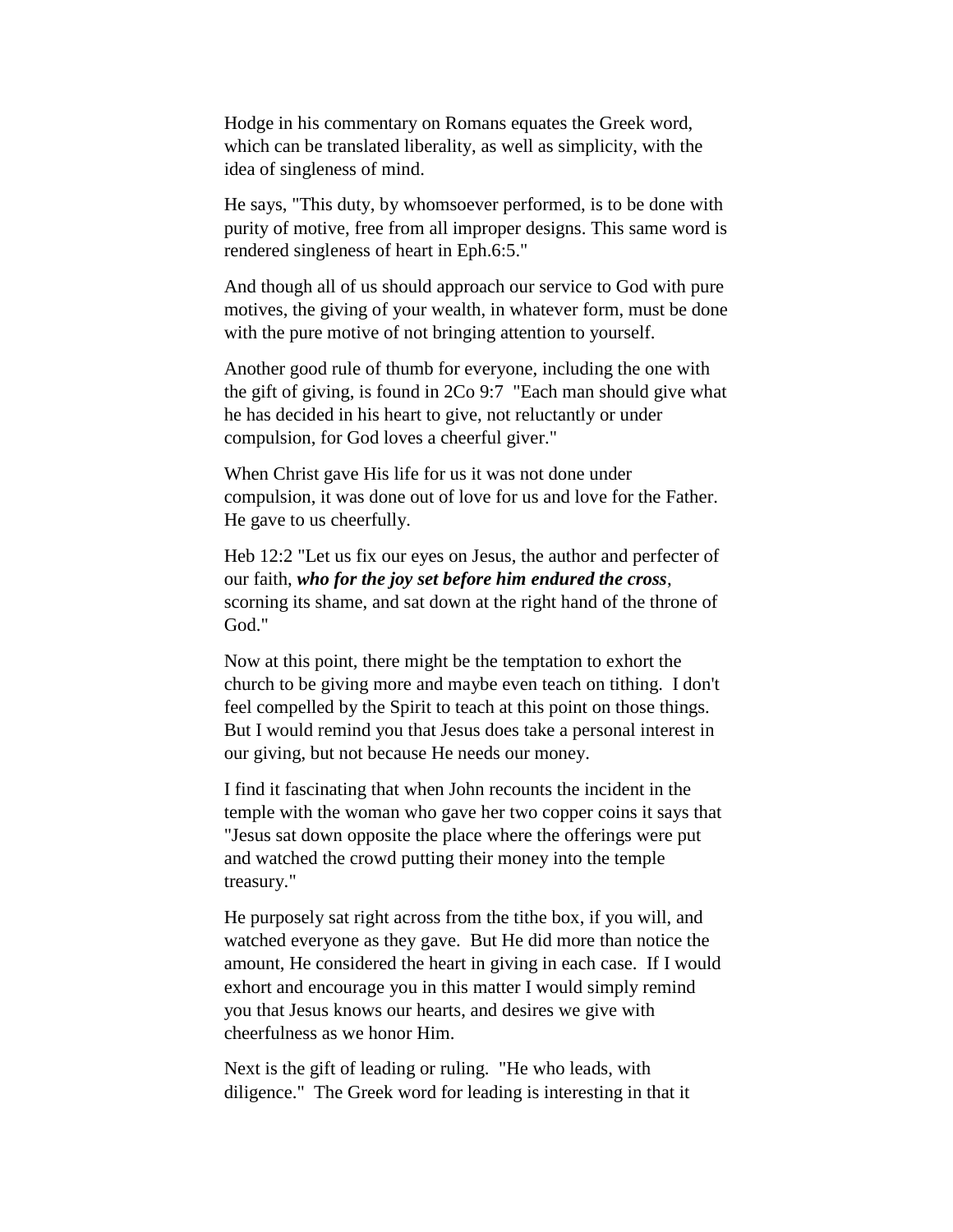Hodge in his commentary on Romans equates the Greek word, which can be translated liberality, as well as simplicity, with the idea of singleness of mind.

He says, "This duty, by whomsoever performed, is to be done with purity of motive, free from all improper designs. This same word is rendered singleness of heart in Eph.6:5."

And though all of us should approach our service to God with pure motives, the giving of your wealth, in whatever form, must be done with the pure motive of not bringing attention to yourself.

Another good rule of thumb for everyone, including the one with the gift of giving, is found in 2Co 9:7 "Each man should give what he has decided in his heart to give, not reluctantly or under compulsion, for God loves a cheerful giver."

When Christ gave His life for us it was not done under compulsion, it was done out of love for us and love for the Father. He gave to us cheerfully.

Heb 12:2 "Let us fix our eyes on Jesus, the author and perfecter of our faith, *who for the joy set before him endured the cross*, scorning its shame, and sat down at the right hand of the throne of God."

Now at this point, there might be the temptation to exhort the church to be giving more and maybe even teach on tithing. I don't feel compelled by the Spirit to teach at this point on those things. But I would remind you that Jesus does take a personal interest in our giving, but not because He needs our money.

I find it fascinating that when John recounts the incident in the temple with the woman who gave her two copper coins it says that "Jesus sat down opposite the place where the offerings were put and watched the crowd putting their money into the temple treasury."

He purposely sat right across from the tithe box, if you will, and watched everyone as they gave. But He did more than notice the amount, He considered the heart in giving in each case. If I would exhort and encourage you in this matter I would simply remind you that Jesus knows our hearts, and desires we give with cheerfulness as we honor Him.

Next is the gift of leading or ruling. "He who leads, with diligence." The Greek word for leading is interesting in that it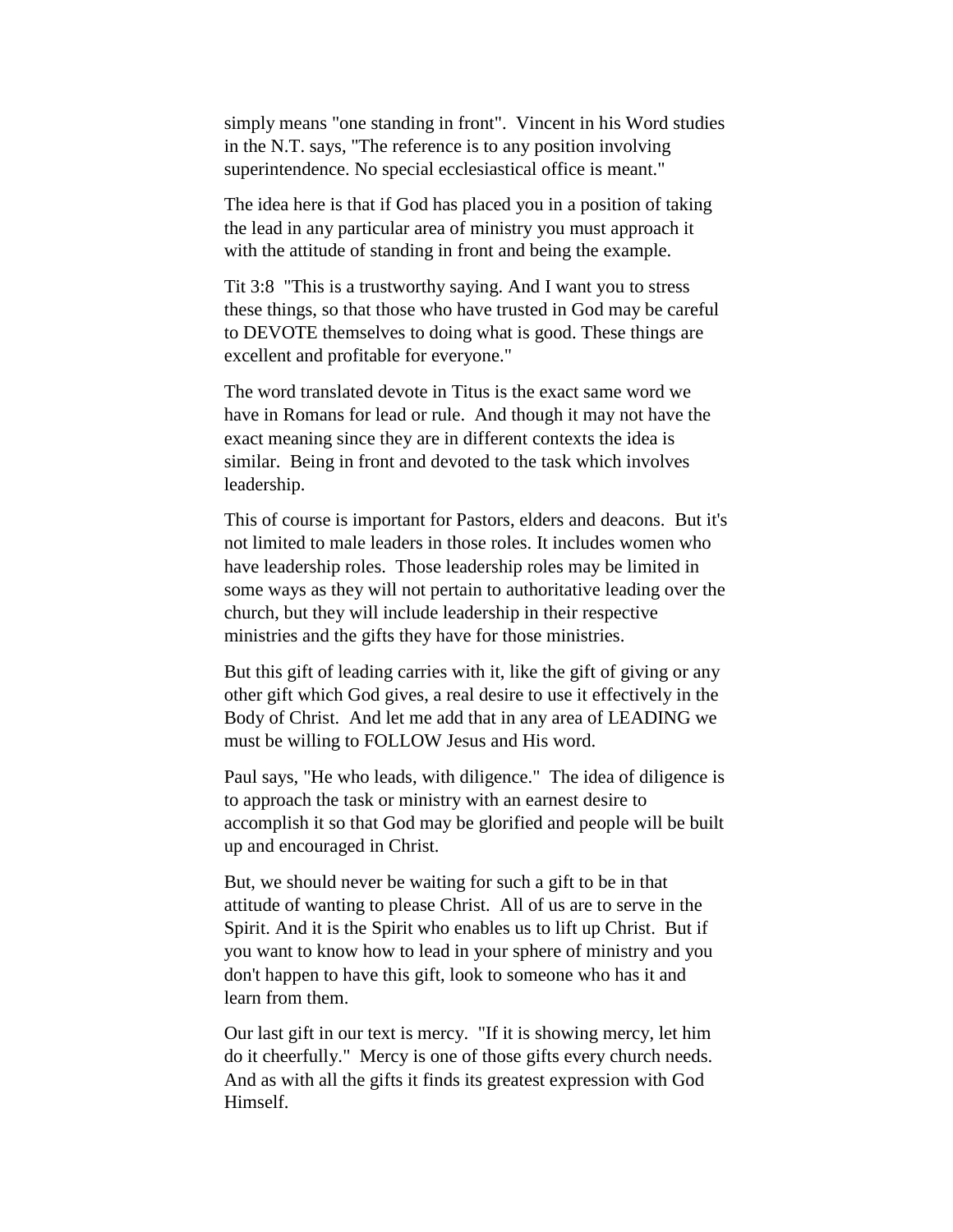simply means "one standing in front". Vincent in his Word studies in the N.T. says, "The reference is to any position involving superintendence. No special ecclesiastical office is meant."

The idea here is that if God has placed you in a position of taking the lead in any particular area of ministry you must approach it with the attitude of standing in front and being the example.

Tit 3:8 "This is a trustworthy saying. And I want you to stress these things, so that those who have trusted in God may be careful to DEVOTE themselves to doing what is good. These things are excellent and profitable for everyone."

The word translated devote in Titus is the exact same word we have in Romans for lead or rule. And though it may not have the exact meaning since they are in different contexts the idea is similar. Being in front and devoted to the task which involves leadership.

This of course is important for Pastors, elders and deacons. But it's not limited to male leaders in those roles. It includes women who have leadership roles. Those leadership roles may be limited in some ways as they will not pertain to authoritative leading over the church, but they will include leadership in their respective ministries and the gifts they have for those ministries.

But this gift of leading carries with it, like the gift of giving or any other gift which God gives, a real desire to use it effectively in the Body of Christ. And let me add that in any area of LEADING we must be willing to FOLLOW Jesus and His word.

Paul says, "He who leads, with diligence." The idea of diligence is to approach the task or ministry with an earnest desire to accomplish it so that God may be glorified and people will be built up and encouraged in Christ.

But, we should never be waiting for such a gift to be in that attitude of wanting to please Christ. All of us are to serve in the Spirit. And it is the Spirit who enables us to lift up Christ. But if you want to know how to lead in your sphere of ministry and you don't happen to have this gift, look to someone who has it and learn from them.

Our last gift in our text is mercy. "If it is showing mercy, let him do it cheerfully." Mercy is one of those gifts every church needs. And as with all the gifts it finds its greatest expression with God Himself.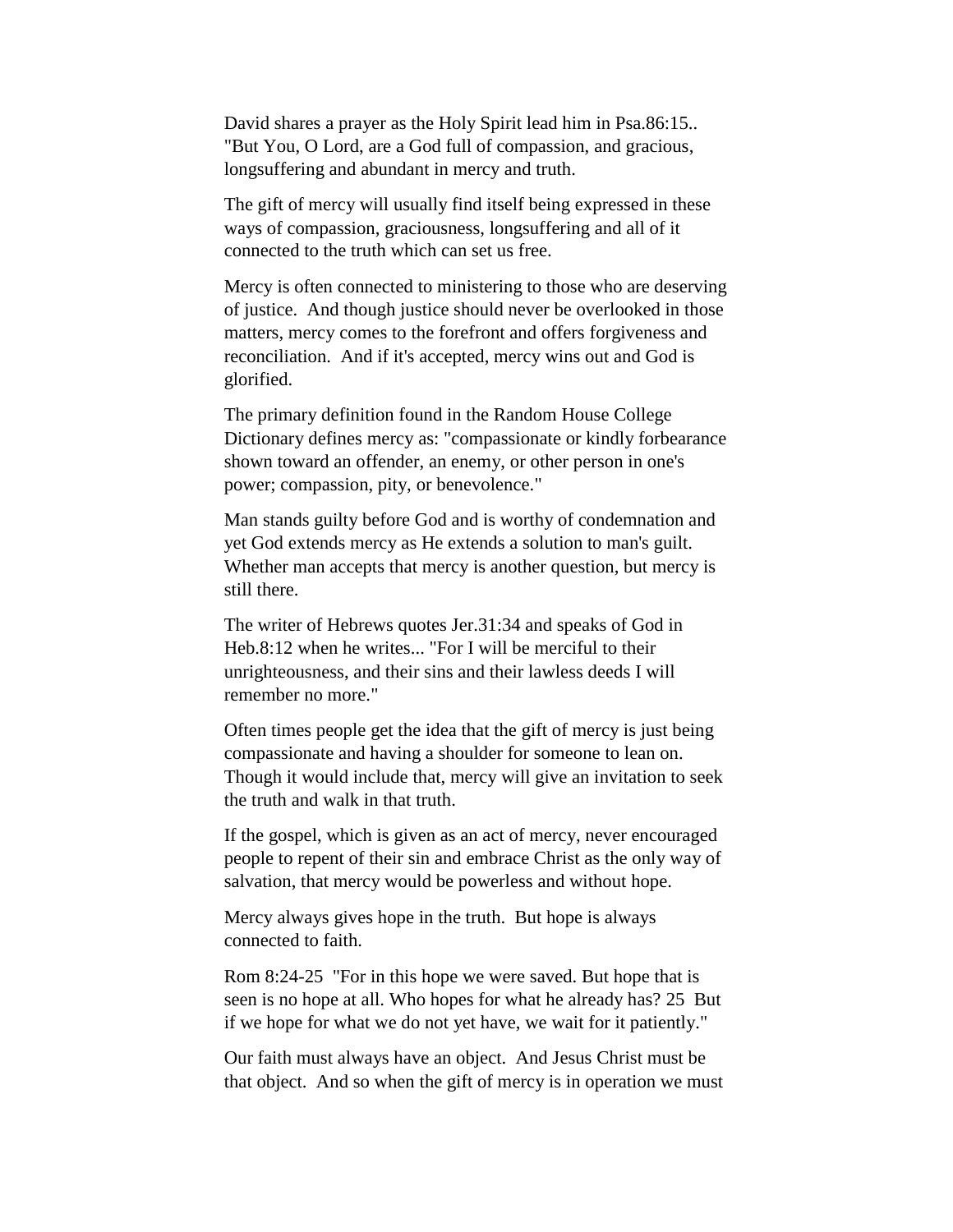David shares a prayer as the Holy Spirit lead him in Psa.86:15.. "But You, O Lord, are a God full of compassion, and gracious, longsuffering and abundant in mercy and truth.

The gift of mercy will usually find itself being expressed in these ways of compassion, graciousness, longsuffering and all of it connected to the truth which can set us free.

Mercy is often connected to ministering to those who are deserving of justice. And though justice should never be overlooked in those matters, mercy comes to the forefront and offers forgiveness and reconciliation. And if it's accepted, mercy wins out and God is glorified.

The primary definition found in the Random House College Dictionary defines mercy as: "compassionate or kindly forbearance shown toward an offender, an enemy, or other person in one's power; compassion, pity, or benevolence."

Man stands guilty before God and is worthy of condemnation and yet God extends mercy as He extends a solution to man's guilt. Whether man accepts that mercy is another question, but mercy is still there.

The writer of Hebrews quotes Jer.31:34 and speaks of God in Heb.8:12 when he writes... "For I will be merciful to their unrighteousness, and their sins and their lawless deeds I will remember no more."

Often times people get the idea that the gift of mercy is just being compassionate and having a shoulder for someone to lean on. Though it would include that, mercy will give an invitation to seek the truth and walk in that truth.

If the gospel, which is given as an act of mercy, never encouraged people to repent of their sin and embrace Christ as the only way of salvation, that mercy would be powerless and without hope.

Mercy always gives hope in the truth. But hope is always connected to faith.

Rom 8:24-25 "For in this hope we were saved. But hope that is seen is no hope at all. Who hopes for what he already has? 25 But if we hope for what we do not yet have, we wait for it patiently."

Our faith must always have an object. And Jesus Christ must be that object. And so when the gift of mercy is in operation we must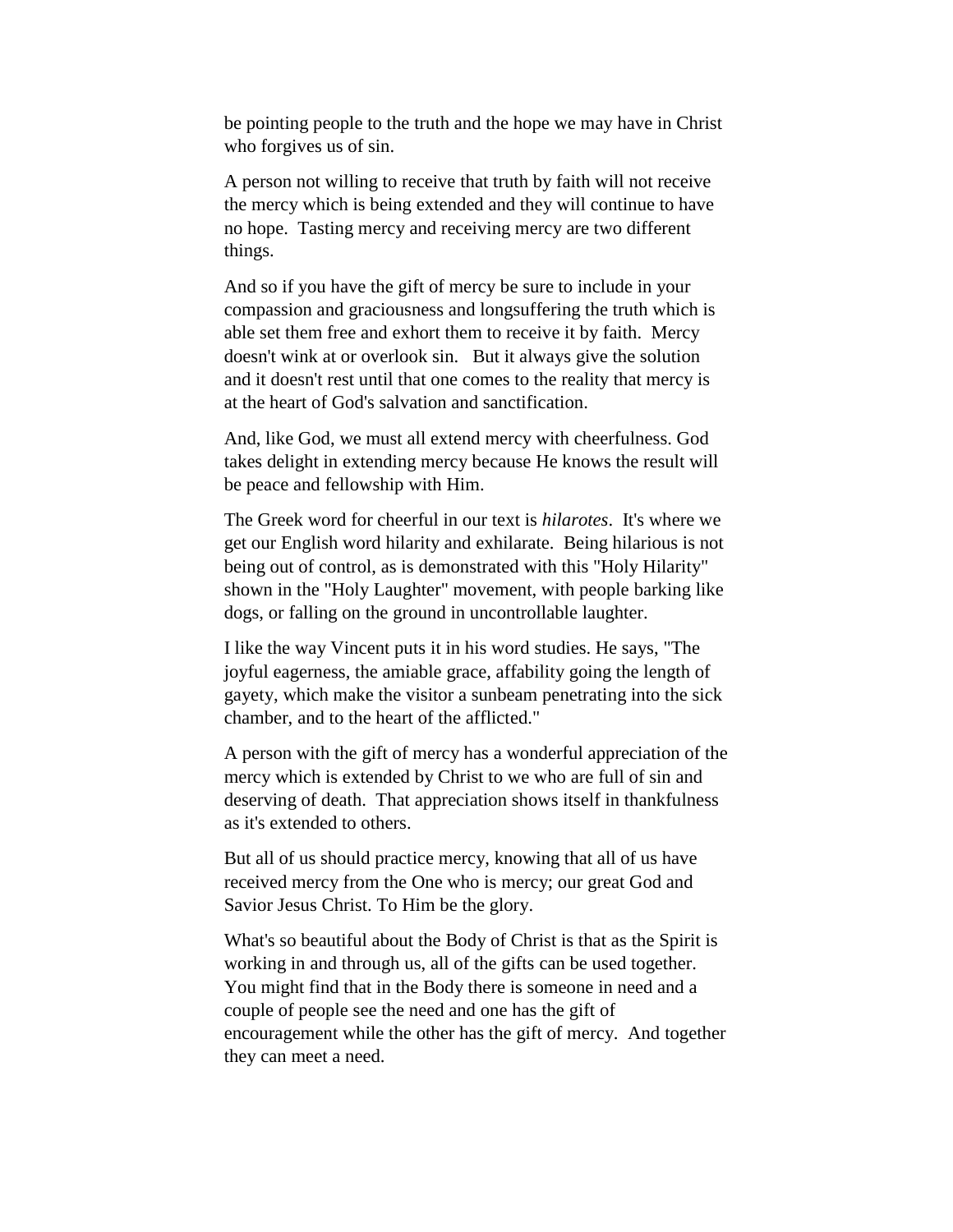be pointing people to the truth and the hope we may have in Christ who forgives us of sin.

A person not willing to receive that truth by faith will not receive the mercy which is being extended and they will continue to have no hope. Tasting mercy and receiving mercy are two different things.

And so if you have the gift of mercy be sure to include in your compassion and graciousness and longsuffering the truth which is able set them free and exhort them to receive it by faith. Mercy doesn't wink at or overlook sin. But it always give the solution and it doesn't rest until that one comes to the reality that mercy is at the heart of God's salvation and sanctification.

And, like God, we must all extend mercy with cheerfulness. God takes delight in extending mercy because He knows the result will be peace and fellowship with Him.

The Greek word for cheerful in our text is *hilarotes*. It's where we get our English word hilarity and exhilarate. Being hilarious is not being out of control, as is demonstrated with this "Holy Hilarity" shown in the "Holy Laughter" movement, with people barking like dogs, or falling on the ground in uncontrollable laughter.

I like the way Vincent puts it in his word studies. He says, "The joyful eagerness, the amiable grace, affability going the length of gayety, which make the visitor a sunbeam penetrating into the sick chamber, and to the heart of the afflicted."

A person with the gift of mercy has a wonderful appreciation of the mercy which is extended by Christ to we who are full of sin and deserving of death. That appreciation shows itself in thankfulness as it's extended to others.

But all of us should practice mercy, knowing that all of us have received mercy from the One who is mercy; our great God and Savior Jesus Christ. To Him be the glory.

What's so beautiful about the Body of Christ is that as the Spirit is working in and through us, all of the gifts can be used together. You might find that in the Body there is someone in need and a couple of people see the need and one has the gift of encouragement while the other has the gift of mercy. And together they can meet a need.